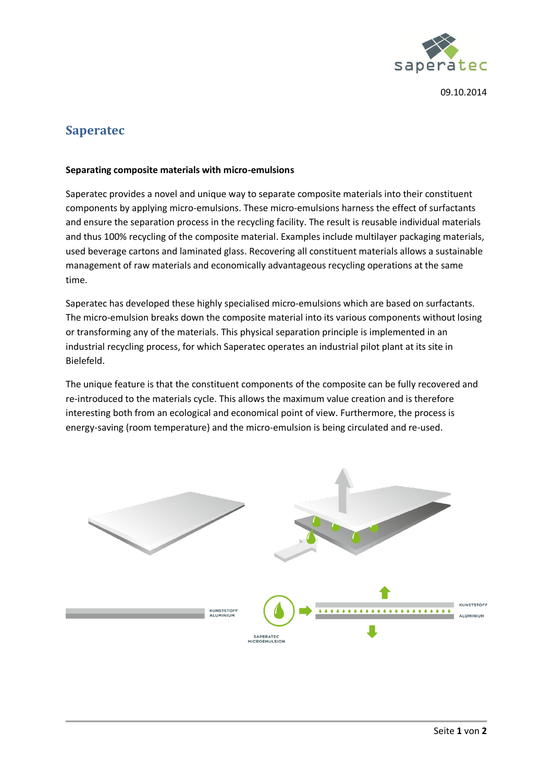

09.10.2014

## **Saperatec**

## **Separating composite materials with micro-emulsions**

Saperatec provides a novel and unique way to separate composite materials into their constituent components by applying micro-emulsions. These micro-emulsions harness the effect of surfactants and ensure the separation process in the recycling facility. The result is reusable individual materials and thus 100% recycling of the composite material. Examples include multilayer packaging materials, used beverage cartons and laminated glass. Recovering all constituent materials allows a sustainable management of raw materials and economically advantageous recycling operations at the same time.

Saperatec has developed these highly specialised micro-emulsions which are based on surfactants. The micro-emulsion breaks down the composite material into its various components without losing or transforming any of the materials. This physical separation principle is implemented in an industrial recycling process, for which Saperatec operates an industrial pilot plant at its site in Bielefeld.

The unique feature is that the constituent components of the composite can be fully recovered and re-introduced to the materials cycle. This allows the maximum value creation and is therefore interesting both from an ecological and economical point of view. Furthermore, the process is energy-saving (room temperature) and the micro-emulsion is being circulated and re-used.